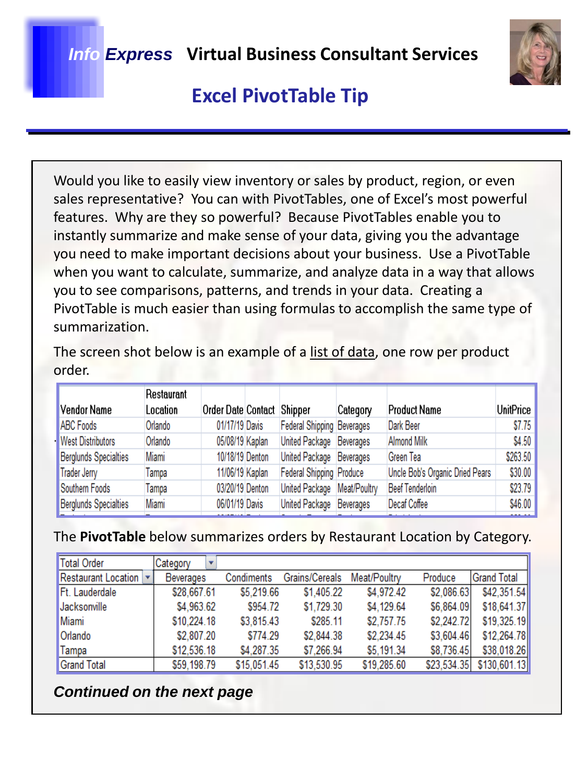

# **Excel PivotTable Tip**

Would you like to easily view inventory or sales by product, region, or even sales representative? You can with PivotTables, one of Excel's most powerful features. Why are they so powerful? Because PivotTables enable you to instantly summarize and make sense of your data, giving you the advantage you need to make important decisions about your business. Use a PivotTable when you want to calculate, summarize, and analyze data in a way that allows you to see comparisons, patterns, and trends in your data. Creating a PivotTable is much easier than using formulas to accomplish the same type of summarization.

The screen shot below is an example of a list of data, one row per product order.

|                          | Restaurant |                    |                             |          |                                 |           |
|--------------------------|------------|--------------------|-----------------------------|----------|---------------------------------|-----------|
| Vendor Name              | Location   | Order Date Contact | Shipper                     | Category | <b>Product Name</b>             | UnitPrice |
| ABC Foods                | Orlando    | 01/17/19 Davis     | Federal Shipping Beverages  |          | Dark Beer                       | \$7.75    |
| <b>West Distributors</b> | Orlando    | 05/08/19 Kaplan    | United Package Beverages    |          | <b>Almond Milk</b>              | \$4.50    |
| Berglunds Specialties    | Miami      | 10/18/19 Denton    | United Package Beverages    |          | Green Tea                       | \$263.50  |
| Trader Jerry             | Tampa      | 11/06/19 Kaplan    | Federal Shipping Produce    |          | Uncle Bob's Organic Dried Pears | \$30.00   |
| Southern Foods           | Tampa      | 03/20/19 Denton    | United Package Meat/Poultry |          | <b>Beef Tenderloin</b>          | \$23.79   |
| Berglunds Specialties    | Miami      | 06/01/19 Davis     | United Package Beverages    |          | Decaf Coffee                    | \$46.00   |
|                          |            |                    |                             |          |                                 |           |

#### The **PivotTable** below summarizes orders by Restaurant Location by Category.

| Total Order             | Category    |             |                |              |             |                    |
|-------------------------|-------------|-------------|----------------|--------------|-------------|--------------------|
| Restaurant Location   v | Beverages   | Condiments  | Grains/Cereals | Meat/Poultry | Produce     | <b>Grand Total</b> |
| Ft. Lauderdale          | \$28,667.61 | \$5,219.66  | \$1,405.22     | \$4,972.42   | \$2,086.63  | \$42,351.54        |
| Jacksonville            | \$4,963.62  | \$954.72    | \$1,729.30     | \$4,129.64   | \$6,864.09  | \$18,641.37        |
| Miami                   | \$10,224.18 | \$3,815.43  | \$285.11       | \$2,757.75   | \$2,242.72  | \$19,325.19        |
| <b>Orlando</b>          | \$2,807.20  | \$774.29    | \$2,844.38     | \$2,234.45   | \$3,604.46  | \$12,264.78        |
| <b>Tampa</b>            | \$12,536.18 | \$4,287.35  | \$7,266.94     | \$5,191.34   | \$8,736.45  | \$38,018.26        |
| Grand Total             | \$59,198.79 | \$15,051.45 | \$13,530.95    | \$19,285.60  | \$23,534.35 | \$130,601.13       |

### *Continued on the next page*